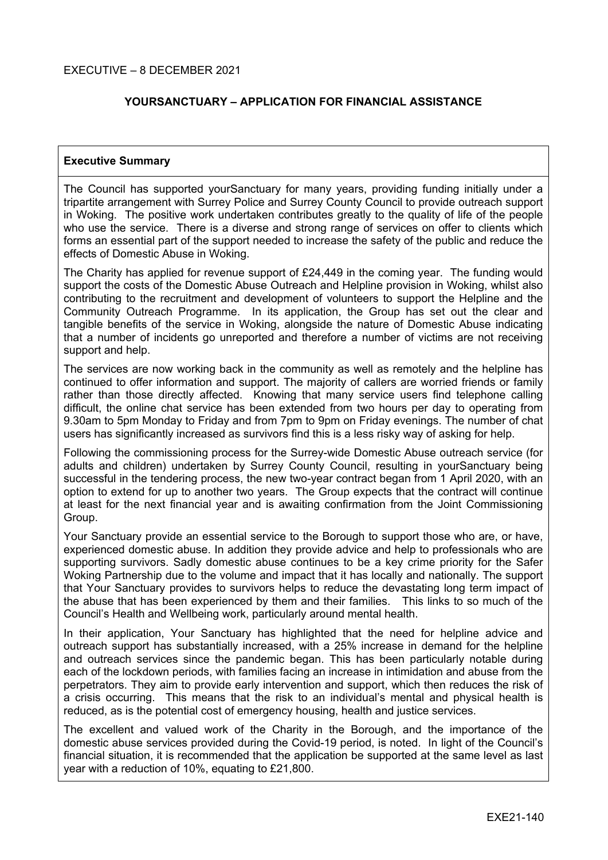### **YOURSANCTUARY – APPLICATION FOR FINANCIAL ASSISTANCE**

#### **Executive Summary**

The Council has supported yourSanctuary for many years, providing funding initially under a tripartite arrangement with Surrey Police and Surrey County Council to provide outreach support in Woking. The positive work undertaken contributes greatly to the quality of life of the people who use the service. There is a diverse and strong range of services on offer to clients which forms an essential part of the support needed to increase the safety of the public and reduce the effects of Domestic Abuse in Woking.

The Charity has applied for revenue support of £24,449 in the coming year. The funding would support the costs of the Domestic Abuse Outreach and Helpline provision in Woking, whilst also contributing to the recruitment and development of volunteers to support the Helpline and the Community Outreach Programme. In its application, the Group has set out the clear and tangible benefits of the service in Woking, alongside the nature of Domestic Abuse indicating that a number of incidents go unreported and therefore a number of victims are not receiving support and help.

The services are now working back in the community as well as remotely and the helpline has continued to offer information and support. The majority of callers are worried friends or family rather than those directly affected. Knowing that many service users find telephone calling difficult, the online chat service has been extended from two hours per day to operating from 9.30am to 5pm Monday to Friday and from 7pm to 9pm on Friday evenings. The number of chat users has significantly increased as survivors find this is a less risky way of asking for help.

Following the commissioning process for the Surrey-wide Domestic Abuse outreach service (for adults and children) undertaken by Surrey County Council, resulting in yourSanctuary being successful in the tendering process, the new two-year contract began from 1 April 2020, with an option to extend for up to another two years. The Group expects that the contract will continue at least for the next financial year and is awaiting confirmation from the Joint Commissioning Group.

Your Sanctuary provide an essential service to the Borough to support those who are, or have, experienced domestic abuse. In addition they provide advice and help to professionals who are supporting survivors. Sadly domestic abuse continues to be a key crime priority for the Safer Woking Partnership due to the volume and impact that it has locally and nationally. The support that Your Sanctuary provides to survivors helps to reduce the devastating long term impact of the abuse that has been experienced by them and their families. This links to so much of the Council's Health and Wellbeing work, particularly around mental health.

In their application, Your Sanctuary has highlighted that the need for helpline advice and outreach support has substantially increased, with a 25% increase in demand for the helpline and outreach services since the pandemic began. This has been particularly notable during each of the lockdown periods, with families facing an increase in intimidation and abuse from the perpetrators. They aim to provide early intervention and support, which then reduces the risk of a crisis occurring. This means that the risk to an individual's mental and physical health is reduced, as is the potential cost of emergency housing, health and justice services.

The excellent and valued work of the Charity in the Borough, and the importance of the domestic abuse services provided during the Covid-19 period, is noted. In light of the Council's financial situation, it is recommended that the application be supported at the same level as last year with a reduction of 10%, equating to £21,800.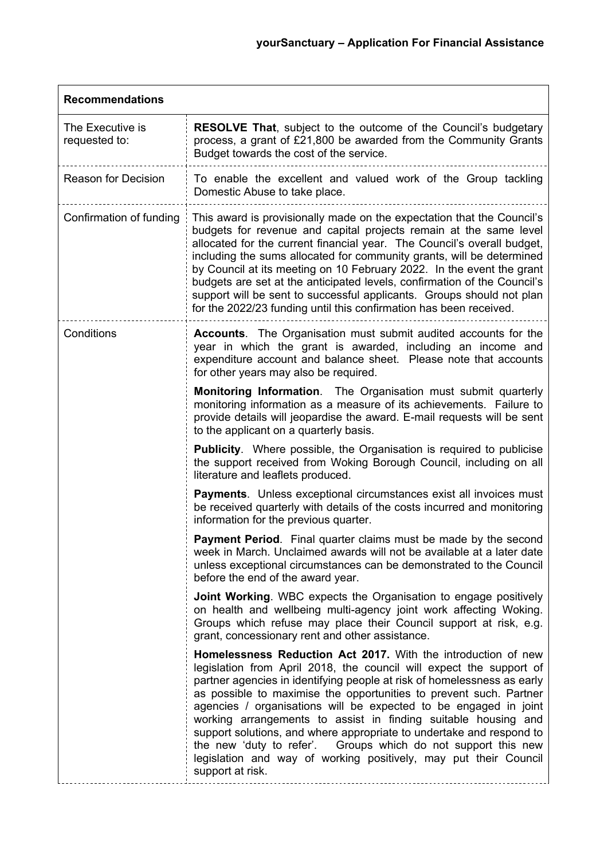| <b>Recommendations</b>            |                                                                                                                                                                                                                                                                                                                                                                                                                                                                                                                                                                                                                                                                     |  |  |  |  |
|-----------------------------------|---------------------------------------------------------------------------------------------------------------------------------------------------------------------------------------------------------------------------------------------------------------------------------------------------------------------------------------------------------------------------------------------------------------------------------------------------------------------------------------------------------------------------------------------------------------------------------------------------------------------------------------------------------------------|--|--|--|--|
| The Executive is<br>requested to: | <b>RESOLVE That, subject to the outcome of the Council's budgetary</b><br>process, a grant of £21,800 be awarded from the Community Grants<br>Budget towards the cost of the service.                                                                                                                                                                                                                                                                                                                                                                                                                                                                               |  |  |  |  |
| <b>Reason for Decision</b>        | To enable the excellent and valued work of the Group tackling<br>Domestic Abuse to take place.                                                                                                                                                                                                                                                                                                                                                                                                                                                                                                                                                                      |  |  |  |  |
| Confirmation of funding           | This award is provisionally made on the expectation that the Council's<br>budgets for revenue and capital projects remain at the same level<br>allocated for the current financial year. The Council's overall budget,<br>including the sums allocated for community grants, will be determined<br>by Council at its meeting on 10 February 2022. In the event the grant<br>budgets are set at the anticipated levels, confirmation of the Council's<br>support will be sent to successful applicants. Groups should not plan<br>for the 2022/23 funding until this confirmation has been received.                                                                 |  |  |  |  |
| Conditions                        | <b>Accounts.</b> The Organisation must submit audited accounts for the<br>year in which the grant is awarded, including an income and<br>expenditure account and balance sheet. Please note that accounts<br>for other years may also be required.                                                                                                                                                                                                                                                                                                                                                                                                                  |  |  |  |  |
|                                   | Monitoring Information. The Organisation must submit quarterly<br>monitoring information as a measure of its achievements. Failure to<br>provide details will jeopardise the award. E-mail requests will be sent<br>to the applicant on a quarterly basis.                                                                                                                                                                                                                                                                                                                                                                                                          |  |  |  |  |
|                                   | <b>Publicity.</b> Where possible, the Organisation is required to publicise<br>the support received from Woking Borough Council, including on all<br>literature and leaflets produced.                                                                                                                                                                                                                                                                                                                                                                                                                                                                              |  |  |  |  |
|                                   | Payments. Unless exceptional circumstances exist all invoices must<br>be received quarterly with details of the costs incurred and monitoring<br>information for the previous quarter.                                                                                                                                                                                                                                                                                                                                                                                                                                                                              |  |  |  |  |
|                                   | <b>Payment Period.</b> Final quarter claims must be made by the second<br>week in March. Unclaimed awards will not be available at a later date<br>unless exceptional circumstances can be demonstrated to the Council<br>before the end of the award year.                                                                                                                                                                                                                                                                                                                                                                                                         |  |  |  |  |
|                                   | <b>Joint Working.</b> WBC expects the Organisation to engage positively<br>on health and wellbeing multi-agency joint work affecting Woking.<br>Groups which refuse may place their Council support at risk, e.g.<br>grant, concessionary rent and other assistance.                                                                                                                                                                                                                                                                                                                                                                                                |  |  |  |  |
|                                   | <b>Homelessness Reduction Act 2017.</b> With the introduction of new<br>legislation from April 2018, the council will expect the support of<br>partner agencies in identifying people at risk of homelessness as early<br>as possible to maximise the opportunities to prevent such. Partner<br>agencies / organisations will be expected to be engaged in joint<br>working arrangements to assist in finding suitable housing and<br>support solutions, and where appropriate to undertake and respond to<br>the new 'duty to refer'. Groups which do not support this new<br>legislation and way of working positively, may put their Council<br>support at risk. |  |  |  |  |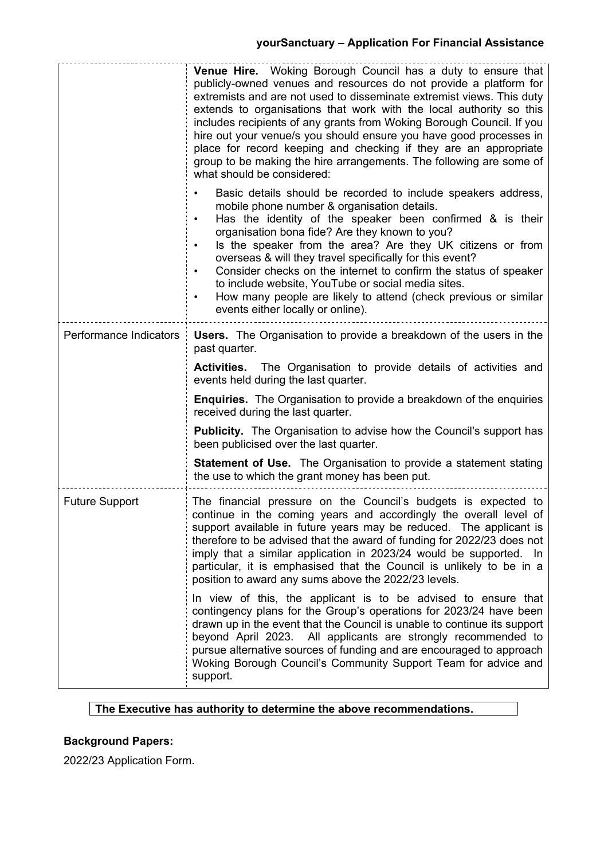# **yourSanctuary – Application For Financial Assistance**

|                        | <b>Venue Hire.</b> Woking Borough Council has a duty to ensure that<br>publicly-owned venues and resources do not provide a platform for<br>extremists and are not used to disseminate extremist views. This duty<br>extends to organisations that work with the local authority so this<br>includes recipients of any grants from Woking Borough Council. If you<br>hire out your venue/s you should ensure you have good processes in<br>place for record keeping and checking if they are an appropriate<br>group to be making the hire arrangements. The following are some of<br>what should be considered:               |  |  |
|------------------------|--------------------------------------------------------------------------------------------------------------------------------------------------------------------------------------------------------------------------------------------------------------------------------------------------------------------------------------------------------------------------------------------------------------------------------------------------------------------------------------------------------------------------------------------------------------------------------------------------------------------------------|--|--|
|                        | Basic details should be recorded to include speakers address,<br>mobile phone number & organisation details.<br>Has the identity of the speaker been confirmed & is their<br>organisation bona fide? Are they known to you?<br>Is the speaker from the area? Are they UK citizens or from<br>$\bullet$<br>overseas & will they travel specifically for this event?<br>Consider checks on the internet to confirm the status of speaker<br>$\bullet$<br>to include website, YouTube or social media sites.<br>How many people are likely to attend (check previous or similar<br>$\bullet$<br>events either locally or online). |  |  |
| Performance Indicators | <b>Users.</b> The Organisation to provide a breakdown of the users in the<br>past quarter.                                                                                                                                                                                                                                                                                                                                                                                                                                                                                                                                     |  |  |
|                        | <b>Activities.</b> The Organisation to provide details of activities and<br>events held during the last quarter.                                                                                                                                                                                                                                                                                                                                                                                                                                                                                                               |  |  |
|                        | <b>Enquiries.</b> The Organisation to provide a breakdown of the enquiries<br>received during the last quarter.                                                                                                                                                                                                                                                                                                                                                                                                                                                                                                                |  |  |
|                        | <b>Publicity.</b> The Organisation to advise how the Council's support has<br>been publicised over the last quarter.                                                                                                                                                                                                                                                                                                                                                                                                                                                                                                           |  |  |
|                        | <b>Statement of Use.</b> The Organisation to provide a statement stating<br>the use to which the grant money has been put.                                                                                                                                                                                                                                                                                                                                                                                                                                                                                                     |  |  |
| <b>Future Support</b>  | The financial pressure on the Council's budgets is expected to<br>continue in the coming years and accordingly the overall level of<br>support available in future years may be reduced. The applicant is<br>therefore to be advised that the award of funding for 2022/23 does not<br>imply that a similar application in 2023/24 would be supported. In<br>particular, it is emphasised that the Council is unlikely to be in a<br>position to award any sums above the 2022/23 levels.                                                                                                                                      |  |  |
|                        | In view of this, the applicant is to be advised to ensure that<br>contingency plans for the Group's operations for 2023/24 have been<br>drawn up in the event that the Council is unable to continue its support<br>beyond April 2023. All applicants are strongly recommended to<br>pursue alternative sources of funding and are encouraged to approach<br>Woking Borough Council's Community Support Team for advice and<br>support.                                                                                                                                                                                        |  |  |

## **The Executive has authority to determine the above recommendations.**

# **Background Papers:**

2022/23 Application Form.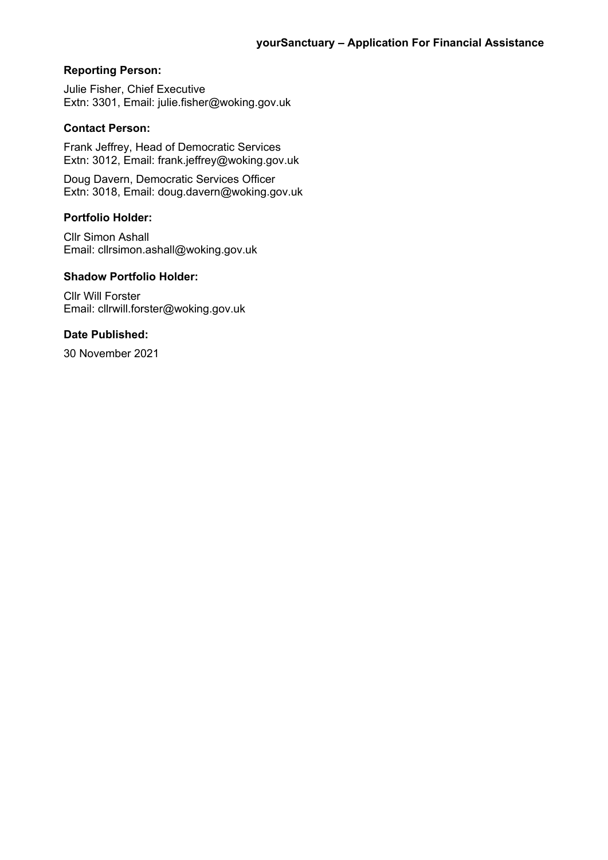### **Reporting Person:**

Julie Fisher, Chief Executive Extn: 3301, Email: julie.fisher@woking.gov.uk

### **Contact Person:**

Frank Jeffrey, Head of Democratic Services Extn: 3012, Email: frank.jeffrey@woking.gov.uk

Doug Davern, Democratic Services Officer Extn: 3018, Email: doug.davern@woking.gov.uk

#### **Portfolio Holder:**

Cllr Simon Ashall Email: cllrsimon.ashall@woking.gov.uk

## **Shadow Portfolio Holder:**

Cllr Will Forster Email: cllrwill.forster@woking.gov.uk

#### **Date Published:**

30 November 2021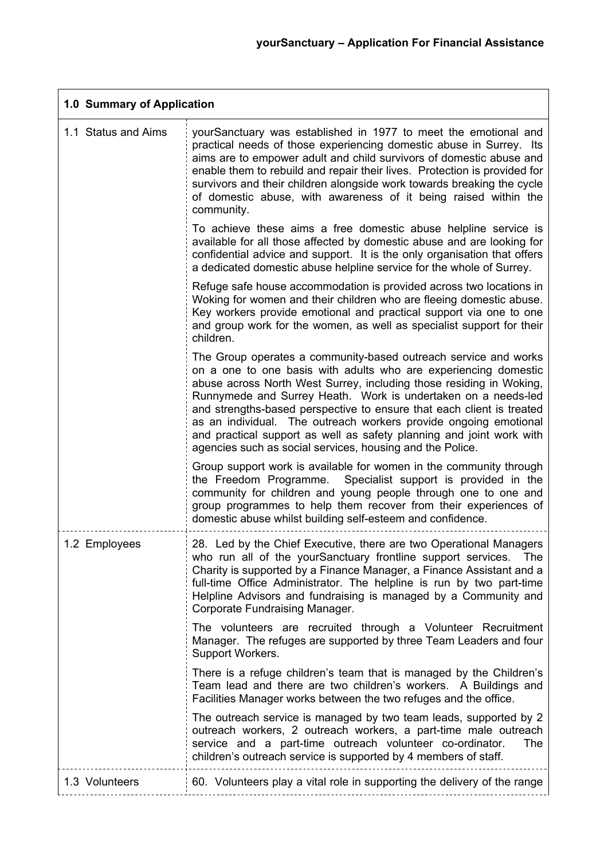$\overline{\phantom{0}}$ 

| 1.0 Summary of Application |                                                                                                                                                                                                                                                                                                                                                                                                                                                                                                                                                              |  |  |
|----------------------------|--------------------------------------------------------------------------------------------------------------------------------------------------------------------------------------------------------------------------------------------------------------------------------------------------------------------------------------------------------------------------------------------------------------------------------------------------------------------------------------------------------------------------------------------------------------|--|--|
| 1.1 Status and Aims        | yourSanctuary was established in 1977 to meet the emotional and<br>practical needs of those experiencing domestic abuse in Surrey. Its<br>aims are to empower adult and child survivors of domestic abuse and<br>enable them to rebuild and repair their lives. Protection is provided for<br>survivors and their children alongside work towards breaking the cycle<br>of domestic abuse, with awareness of it being raised within the<br>community.                                                                                                        |  |  |
|                            | To achieve these aims a free domestic abuse helpline service is<br>available for all those affected by domestic abuse and are looking for<br>confidential advice and support. It is the only organisation that offers<br>a dedicated domestic abuse helpline service for the whole of Surrey.                                                                                                                                                                                                                                                                |  |  |
|                            | Refuge safe house accommodation is provided across two locations in<br>Woking for women and their children who are fleeing domestic abuse.<br>Key workers provide emotional and practical support via one to one<br>and group work for the women, as well as specialist support for their<br>children.                                                                                                                                                                                                                                                       |  |  |
|                            | The Group operates a community-based outreach service and works<br>on a one to one basis with adults who are experiencing domestic<br>abuse across North West Surrey, including those residing in Woking,<br>Runnymede and Surrey Heath. Work is undertaken on a needs-led<br>and strengths-based perspective to ensure that each client is treated<br>as an individual. The outreach workers provide ongoing emotional<br>and practical support as well as safety planning and joint work with<br>agencies such as social services, housing and the Police. |  |  |
|                            | Group support work is available for women in the community through<br>the Freedom Programme. Specialist support is provided in the<br>community for children and young people through one to one and<br>group programmes to help them recover from their experiences of<br>domestic abuse whilst building self-esteem and confidence.                                                                                                                                                                                                                        |  |  |
| 1.2 Employees              | 28. Led by the Chief Executive, there are two Operational Managers<br>who run all of the yourSanctuary frontline support services. The<br>Charity is supported by a Finance Manager, a Finance Assistant and a<br>full-time Office Administrator. The helpline is run by two part-time<br>Helpline Advisors and fundraising is managed by a Community and<br>Corporate Fundraising Manager.                                                                                                                                                                  |  |  |
|                            | The volunteers are recruited through a Volunteer Recruitment<br>Manager. The refuges are supported by three Team Leaders and four<br>Support Workers.                                                                                                                                                                                                                                                                                                                                                                                                        |  |  |
|                            | There is a refuge children's team that is managed by the Children's<br>Team lead and there are two children's workers. A Buildings and<br>Facilities Manager works between the two refuges and the office.                                                                                                                                                                                                                                                                                                                                                   |  |  |
|                            | The outreach service is managed by two team leads, supported by 2<br>outreach workers, 2 outreach workers, a part-time male outreach<br>service and a part-time outreach volunteer co-ordinator.<br><b>The</b><br>children's outreach service is supported by 4 members of staff.                                                                                                                                                                                                                                                                            |  |  |
| 1.3 Volunteers             | 60. Volunteers play a vital role in supporting the delivery of the range                                                                                                                                                                                                                                                                                                                                                                                                                                                                                     |  |  |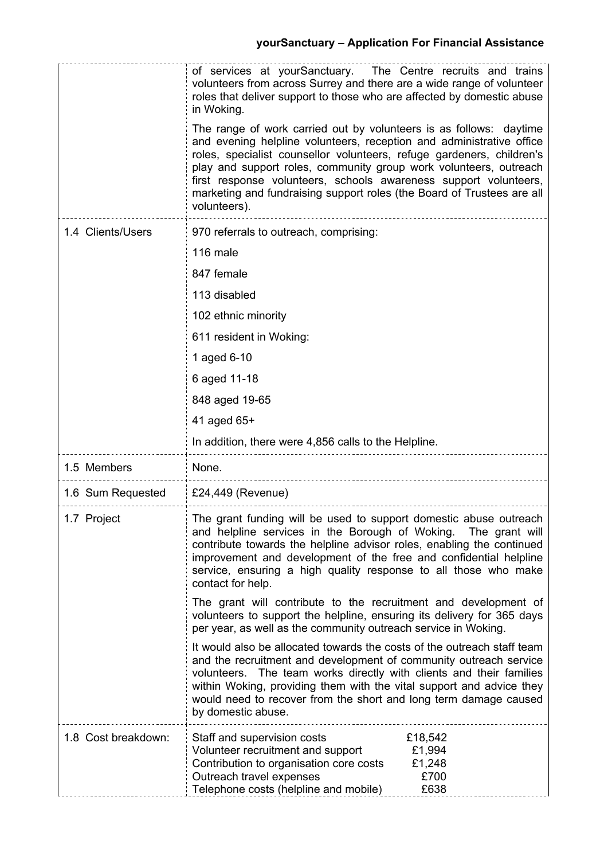|                     | of services at yourSanctuary. The Centre recruits and trains<br>volunteers from across Surrey and there are a wide range of volunteer<br>roles that deliver support to those who are affected by domestic abuse<br>in Woking.<br>The range of work carried out by volunteers is as follows: daytime<br>and evening helpline volunteers, reception and administrative office<br>roles, specialist counsellor volunteers, refuge gardeners, children's<br>play and support roles, community group work volunteers, outreach<br>first response volunteers, schools awareness support volunteers,<br>marketing and fundraising support roles (the Board of Trustees are all<br>volunteers). |
|---------------------|-----------------------------------------------------------------------------------------------------------------------------------------------------------------------------------------------------------------------------------------------------------------------------------------------------------------------------------------------------------------------------------------------------------------------------------------------------------------------------------------------------------------------------------------------------------------------------------------------------------------------------------------------------------------------------------------|
| 1.4 Clients/Users   | 970 referrals to outreach, comprising:                                                                                                                                                                                                                                                                                                                                                                                                                                                                                                                                                                                                                                                  |
|                     | 116 male                                                                                                                                                                                                                                                                                                                                                                                                                                                                                                                                                                                                                                                                                |
|                     | 847 female                                                                                                                                                                                                                                                                                                                                                                                                                                                                                                                                                                                                                                                                              |
|                     | 113 disabled                                                                                                                                                                                                                                                                                                                                                                                                                                                                                                                                                                                                                                                                            |
|                     | 102 ethnic minority                                                                                                                                                                                                                                                                                                                                                                                                                                                                                                                                                                                                                                                                     |
|                     | 611 resident in Woking:                                                                                                                                                                                                                                                                                                                                                                                                                                                                                                                                                                                                                                                                 |
|                     | 1 aged 6-10                                                                                                                                                                                                                                                                                                                                                                                                                                                                                                                                                                                                                                                                             |
|                     | 6 aged 11-18                                                                                                                                                                                                                                                                                                                                                                                                                                                                                                                                                                                                                                                                            |
|                     | 848 aged 19-65                                                                                                                                                                                                                                                                                                                                                                                                                                                                                                                                                                                                                                                                          |
|                     | 41 aged 65+                                                                                                                                                                                                                                                                                                                                                                                                                                                                                                                                                                                                                                                                             |
|                     | In addition, there were 4,856 calls to the Helpline.                                                                                                                                                                                                                                                                                                                                                                                                                                                                                                                                                                                                                                    |
| 1.5 Members         | None.                                                                                                                                                                                                                                                                                                                                                                                                                                                                                                                                                                                                                                                                                   |
| 1.6 Sum Requested   | £24,449 (Revenue)                                                                                                                                                                                                                                                                                                                                                                                                                                                                                                                                                                                                                                                                       |
| 1.7 Project         | The grant funding will be used to support domestic abuse outreach<br>and helpline services in the Borough of Woking. The grant will<br>contribute towards the helpline advisor roles, enabling the continued<br>improvement and development of the free and confidential helpline<br>service, ensuring a high quality response to all those who make<br>contact for help.                                                                                                                                                                                                                                                                                                               |
|                     | The grant will contribute to the recruitment and development of<br>volunteers to support the helpline, ensuring its delivery for 365 days<br>per year, as well as the community outreach service in Woking.                                                                                                                                                                                                                                                                                                                                                                                                                                                                             |
|                     | It would also be allocated towards the costs of the outreach staff team<br>and the recruitment and development of community outreach service<br>volunteers. The team works directly with clients and their families<br>within Woking, providing them with the vital support and advice they<br>would need to recover from the short and long term damage caused<br>by domestic abuse.                                                                                                                                                                                                                                                                                                   |
| 1.8 Cost breakdown: |                                                                                                                                                                                                                                                                                                                                                                                                                                                                                                                                                                                                                                                                                         |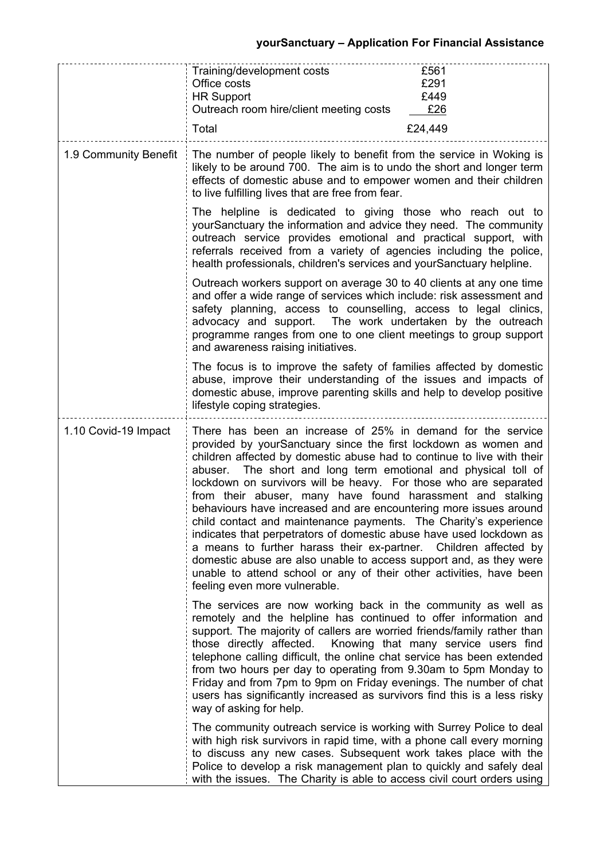|                       | Training/development costs<br>£561<br>£291<br>Office costs<br>£449<br><b>HR Support</b><br>£26<br>Outreach room hire/client meeting costs<br>Total<br>£24,449                                                                                                                                                                                                                                                                                                                                                                                                                                                                                                                                                                                                                                                                                                                     |
|-----------------------|-----------------------------------------------------------------------------------------------------------------------------------------------------------------------------------------------------------------------------------------------------------------------------------------------------------------------------------------------------------------------------------------------------------------------------------------------------------------------------------------------------------------------------------------------------------------------------------------------------------------------------------------------------------------------------------------------------------------------------------------------------------------------------------------------------------------------------------------------------------------------------------|
| 1.9 Community Benefit | The number of people likely to benefit from the service in Woking is<br>likely to be around 700. The aim is to undo the short and longer term<br>effects of domestic abuse and to empower women and their children<br>to live fulfilling lives that are free from fear.                                                                                                                                                                                                                                                                                                                                                                                                                                                                                                                                                                                                           |
|                       | The helpline is dedicated to giving those who reach out to<br>yourSanctuary the information and advice they need. The community<br>outreach service provides emotional and practical support, with<br>referrals received from a variety of agencies including the police,<br>health professionals, children's services and yourSanctuary helpline.                                                                                                                                                                                                                                                                                                                                                                                                                                                                                                                                |
|                       | Outreach workers support on average 30 to 40 clients at any one time<br>and offer a wide range of services which include: risk assessment and<br>safety planning, access to counselling, access to legal clinics,<br>advocacy and support. The work undertaken by the outreach<br>programme ranges from one to one client meetings to group support<br>and awareness raising initiatives.                                                                                                                                                                                                                                                                                                                                                                                                                                                                                         |
|                       | The focus is to improve the safety of families affected by domestic<br>abuse, improve their understanding of the issues and impacts of<br>domestic abuse, improve parenting skills and help to develop positive<br>lifestyle coping strategies.                                                                                                                                                                                                                                                                                                                                                                                                                                                                                                                                                                                                                                   |
| 1.10 Covid-19 Impact  | There has been an increase of 25% in demand for the service<br>provided by yourSanctuary since the first lockdown as women and<br>children affected by domestic abuse had to continue to live with their<br>The short and long term emotional and physical toll of<br>abuser.<br>lockdown on survivors will be heavy. For those who are separated<br>from their abuser, many have found harassment and stalking<br>behaviours have increased and are encountering more issues around<br>child contact and maintenance payments. The Charity's experience<br>indicates that perpetrators of domestic abuse have used lockdown as<br>a means to further harass their ex-partner. Children affected by<br>domestic abuse are also unable to access support and, as they were<br>unable to attend school or any of their other activities, have been<br>feeling even more vulnerable. |
|                       | The services are now working back in the community as well as<br>remotely and the helpline has continued to offer information and<br>support. The majority of callers are worried friends/family rather than<br>Knowing that many service users find<br>those directly affected.<br>telephone calling difficult, the online chat service has been extended<br>from two hours per day to operating from 9.30am to 5pm Monday to<br>Friday and from 7pm to 9pm on Friday evenings. The number of chat<br>users has significantly increased as survivors find this is a less risky<br>way of asking for help.                                                                                                                                                                                                                                                                        |
|                       | The community outreach service is working with Surrey Police to deal<br>with high risk survivors in rapid time, with a phone call every morning<br>to discuss any new cases. Subsequent work takes place with the<br>Police to develop a risk management plan to quickly and safely deal<br>with the issues. The Charity is able to access civil court orders using                                                                                                                                                                                                                                                                                                                                                                                                                                                                                                               |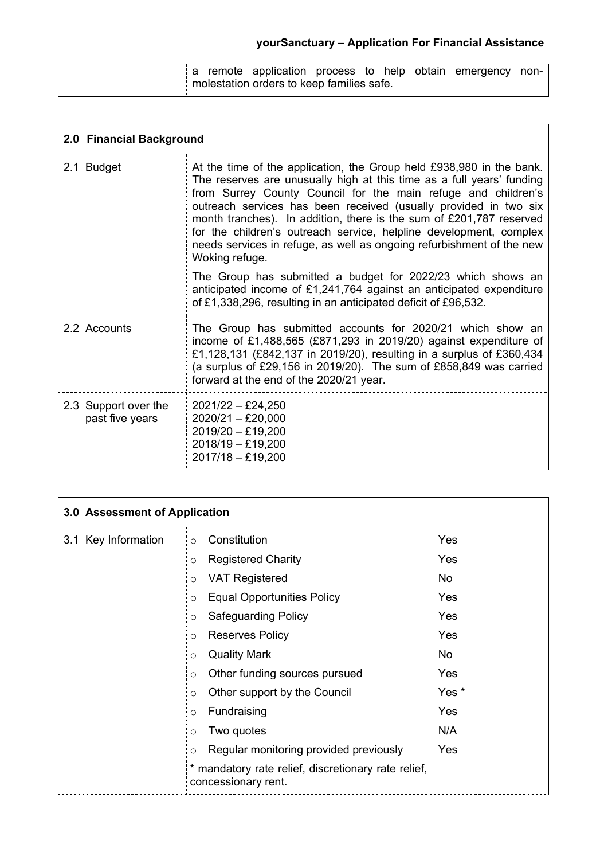|  |  |                                           |  |  | a remote application process to help obtain emergency non- |  |
|--|--|-------------------------------------------|--|--|------------------------------------------------------------|--|
|  |  | molestation orders to keep families safe. |  |  |                                                            |  |

| 2.0 Financial Background                |                                                                                                                                                                                                                                                                                                                                                                                                                                                                                                                            |  |  |  |  |
|-----------------------------------------|----------------------------------------------------------------------------------------------------------------------------------------------------------------------------------------------------------------------------------------------------------------------------------------------------------------------------------------------------------------------------------------------------------------------------------------------------------------------------------------------------------------------------|--|--|--|--|
| 2.1 Budget                              | At the time of the application, the Group held £938,980 in the bank.<br>The reserves are unusually high at this time as a full years' funding<br>from Surrey County Council for the main refuge and children's<br>outreach services has been received (usually provided in two six<br>month tranches). In addition, there is the sum of £201,787 reserved<br>for the children's outreach service, helpline development, complex<br>needs services in refuge, as well as ongoing refurbishment of the new<br>Woking refuge. |  |  |  |  |
|                                         | The Group has submitted a budget for 2022/23 which shows an<br>anticipated income of £1,241,764 against an anticipated expenditure<br>of £1,338,296, resulting in an anticipated deficit of £96,532.                                                                                                                                                                                                                                                                                                                       |  |  |  |  |
| 2.2 Accounts                            | The Group has submitted accounts for 2020/21 which show an<br>income of £1,488,565 (£871,293 in 2019/20) against expenditure of<br>£1,128,131 (£842,137 in 2019/20), resulting in a surplus of £360,434<br>(a surplus of £29,156 in 2019/20). The sum of £858,849 was carried<br>forward at the end of the 2020/21 year.                                                                                                                                                                                                   |  |  |  |  |
| 2.3 Support over the<br>past five years | $2021/22 - \pounds24,250$<br>$2020/21 - £20,000$<br>$2019/20 - £19,200$<br>$2018/19 - £19,200$<br>2017/18 - £19,200                                                                                                                                                                                                                                                                                                                                                                                                        |  |  |  |  |

| 3.0 Assessment of Application |                                                                          |       |  |  |
|-------------------------------|--------------------------------------------------------------------------|-------|--|--|
| 3.1 Key Information           | Constitution<br>$\circ$                                                  | Yes   |  |  |
|                               | <b>Registered Charity</b><br>O                                           | Yes   |  |  |
|                               | <b>VAT Registered</b><br>$\circ$                                         | No.   |  |  |
|                               | <b>Equal Opportunities Policy</b><br>$\circ$                             | Yes   |  |  |
|                               | <b>Safeguarding Policy</b><br>$\circ$                                    | Yes   |  |  |
|                               | <b>Reserves Policy</b><br>$\circ$                                        | Yes   |  |  |
|                               | <b>Quality Mark</b><br>$\circ$                                           | No    |  |  |
|                               | Other funding sources pursued<br>O                                       | Yes   |  |  |
|                               | Other support by the Council<br>$\circ$                                  | Yes * |  |  |
|                               | Fundraising<br>O                                                         | Yes   |  |  |
|                               | Two quotes<br>O                                                          | N/A   |  |  |
|                               | Regular monitoring provided previously<br>$\circ$                        | Yes   |  |  |
|                               | mandatory rate relief, discretionary rate relief,<br>concessionary rent. |       |  |  |